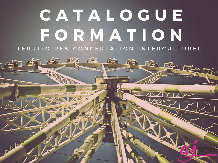# C A T A L O G U F F O R M A T I O N T E R R I T O I R E S - C O N C E R T A T I O N - I N T E R C U L T U R E L

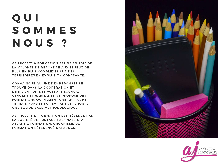## Q U I S O M M E S N O U S ?

AJ PROJETS & FORMATION EST NÉ EN 2016 DE LA VOLONTÉ DE RÉPONDRE AUX ENJEUX DE PLUS EN PLUS COMPLEXES SUR DES TERRITOIRES EN EVOLUTION CONSTANTE.

CONVAINCUE QU'UNE DES RÉPONSES SE TROUVE DANS LA COOPERATION ET L'IMPLICATION DES ACTEURS LOCAUX, USAGERS ET HABITANTS, JE PROPOSE DES FORMATIONS QUI ALLIENT UNE APPROCHE TERRAIN FONDÉE SUR LA PARTICIPATION À UNE SOLIDE BASE MÉTHODOLOGIQUE.

AJ PROJETS ET FORMATION EST HÉBERGÉ PAR LA SOCIÉTÉ DE PORTAGE SALARIALE STAFF ATLANTIC FORMATION, ORGANISME DE FORMATION RÉFÉRENCÉ DATADOCK.



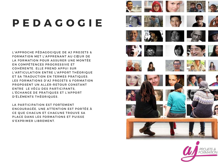## P E D A G O G I E

L'APPROCHE PÉDAGOGIQUE DE AJ PROJETS & FORMATION MET L'APPRENANT AU CŒUR DE LA FORMATION POUR ASSURER UNE MONTÉE EN COMPÉTENCES PROGRESSIVE ET COHÉRENTE. ELLE PREND APPUI SUR L'ARTICULATION ENTRE L'APPORT THÉORIQUE ET SA TRADUCTION EN TERMES PRATIQUES. LES FORMATIONS D'AJ PROJETS & FORMATION PROPOSENT UN ALLER-RETOUR CONSTANT ENTRE LE VÉCU DES PARTICIPANTS, L'ÉCHANGE DE PRATIQUES ET L'APPORT D'ÉLÉMENTS THÉORIQUES.

LA PARTICIPATION EST FORTEMENT ENCOURAGÉE, UNE ATTENTION EST PORTÉE À CE QUE CHACUN ET CHACUNE TROUVE SA PLACE DANS LES FORMATIONS ET PUISSE S'EXPRIMER LIBREMENT.



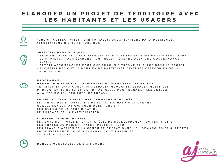### ELABORER UN PROJET DE TERRITOIRE AVEC LES HABITANTS ET LES USAGERS



PUBLIC : COLLECTIVITÉS TERRITORIALES, ORGANISATIONS PARA-PUBLIOUES. A S S O C I A T I O N S D'UTILITÉ PUBLIQUE...

#### O B J E C T I F S P E D A G O G I Q U E S :

- ETRE EN CAPACITÉ D'ANALYSER LES ENJEUX ET LES ACTEURS DE SON TERRITOIRE
- SE PROJETER POUR ÉLABORER UN PROJET PÉRENNE AVEC UNE GOUVERNANCE C L A I R E
- SAVOIR ACCOMPAGNER POUR OUE CHACUN.E TROUVE SA PLACE DANS LE PROJET
- A C O U É RIR DES OUTILS POUR FAIRE PARTICIPER DIVERSES CATÉ GORIES DE LA P O P U L A T I O N

P R O G R A M M E :

MENER UN DIAGNOSTIC TERRITORIAL ET IDENTIFIER LES ENJEUX TERRITOIRES D'AUJOURD'HUI : ESPACES MOUVANTS, ESPACES MULTIPLES P H O T O G R A P H I E LE A SITUATION ACTUELLE POUR DÉGAGER LES ENJEUX A N A L Y S E DU JEU DES ACTEURS LOCAUX

LE PROJET TERRITORIAL : UNE DÉMARCHE PARTAGÉE LES PRINCIPES ET OBJECTIFS DE LA PARTICIPATION CITOYENNE Q U E LL E CONCERTATION. POUR OUEL PUBLIC ? LES OUTILS DE LA PARTICIPATION LE PHASAGE DE LA PARTICIPATION

#### CONSTRUCTION DU PROJET

LES BUTS DU PROJET ET LA STRATÉGIE DE DÉVELOPPEMENT DU TERRITOIRE LES PHASES DU PROJET : PASSÉ, PRÉSENT, FUTUR LES PLANS D'ACTION ET LA CONDUITE OPÉRATIONNELLE : DÉMARCHES ET SUPPORTS LA GOUVERNANCE : QUELS SCENARII SONT POSSIBLES ? S U I V I - É V A L U A T I O N

DUREE : MODULABLE, DE 2 À 3 JOURS

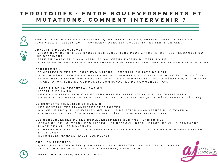## TERRITOIRES : ENTRE BOULEVERSEMENTS ET M U T A T I O N S , C O M M E N T I N T E R V E N I R ?



PUBLIC : ORGANISATIONS PARA-PUBLIOUES, ASSOCIATIONS, PRESTATAIRES DE SERVICE... TOUS CEUX ET CELLES OUI TRAVAILLENT AVEC LES COLLECTIVITÉS TERRITORIALES

#### O B J E C T I F S P E D A G O G I O U E S :

- M I E U X COMPRENDRE LES CAUSES DES ÉVOLUTIONS POUR APPRÉHENDER LES TENDANCES QUI SE DESSINENT
- E TRE EN CAPACITÉ D'ANALYSER LES NOUVEAUX ENJEUX DU TERRITOIRE
- SAVOIR PROPOSER DES PISTES DE TRAVAIL ADAPTÉES ET PERTINENTES DE MANIÈRE PARTAGÉE

#### P R O G R A M M E :

#### LES COLLECTIVITÉS ET LEURS ÉVOLUTIONS : EXEMPLE DU PAYS DE RETZ

- SUR UN MÊME TERRITOIRE. PASSER DE 41 COMMUNES, 6 INTERCOMMUNALITÉS, 1 PAYS À 38 COMMUNES, 4 INTERCOMMUNALITÉS DONT UNE COMMUNAUTÉ D'AGGLOMÉRATION, ET UN PAYS, - TRANSFORMATIONS DE COMMUNES, COMMUNAUTÉS DE COMMUNES, PAYS

#### L'ACTE III DE LA DÉCENTRALISATION

- L'ESPRIT DE LA LOI
- LES LOIS MAPTAM ET NOTRE ET LEUR MISE EN APPLICATION SUR LES TERRITOIRES
- LA PLACE DES METROPOLES ET LES AUTRES COLLECTIVITÉS (EPCI. DÉPARTEMENT. RÉGION)

#### LE CONTEXTE FINANCIER ET HUMAIN

- LES CONTRAINTES FINANCIÈRES TRÈS FORTES
- NOUVELLE ÉPOOUE. NOUVELLES MŒURS : LA RELATION CHANGEANTE DU CITOYEN À L'AD MIN ISTRATION. À SON TERRITOIRE. L'ÉVOLUTION DES ASPIRATIONS

#### LES CONSÉOUENCES DE CES BOULEVERSEMENTS SUR NOS TERRITOIRES

- C RÉATION DE NOUVEAUX ÉOUILIBRES... ET DESÉOUILIBRES FRACTURE VILLE-CAMPAGNE. PLACE DES VILLES MOYENNES...
- CURSEUR MOUVANT DE LA GOUVERNANCE : PLACE DE L'ÉLU. PLACE DE L'HABITANT USAGER ET CITOYEN
- RETOMBÉES MANAGÉRIALES COMPLEXES

#### QUELLES RÉPONSES ?

- Q U E LOUES PISTES À ÉVOQUER SELON LES CONTEXTES : NOUVELLES ALLIANCES TERRITORIALES, PARTICIPATION CITOYENNE, FORMATION...

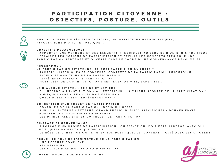## PARTICIPATION CITOYENNE : O B J E C T I F S, P O S T U R E, O U T I L S



PUBLIC : COLLECTIVITÉS TERRITORIALES, ORGANISATIONS PARA-PUBLIOUES. A S S O C I A T I O N S D'UTILITÉ PUBLIOUE...

#### O B J E C T I F S P E D A G O G I O U E S :

- A P P O R T E R UN E MÉTHO DE ET DES ÉLÉMENTS THÉORIQUES AU SERVICE D'UN CHOIX POLITIQUE - É CLAIRER LES NOTIONS DE PARTICIPATION ET DÉFINIR LES CONCEPTS CLÉS POUR UNE PARTICIPATION PARTAGÉE ET OUVERTE DANS LE CADRE D'UNE GOUVERNANCE RENOUVELÉE

#### PROGRAMME :

#### LA PARTICIPATION CITOYENNE. DE QUOI PARLE-T-ON AU JUSTE ?

- RAPPELS HISTORIQUES ET CONCEPTS, CONTEXTE DE LA PARTICIPATION AUJOURD'HUI
- ENJEUX ET AMBITIONS DE LA PARTICIPATION
- D I F F É R E N T S N I V E A U X D E P A R T I C I P A T I O N
- MOTS CLÉS DE LA PARTICIPATION : REPRÉSENTATIVITÉ. EXPERTISE..

#### LE DIALOGUE CITOYEN : FREINS ET LEVIERS

- EN INTERNE À L'INSTITUTION / À L'EXTÉRIEUR : LA VALEUR-AJOUTÉE DE LA PARTICIPATION ?
- POUROUOI PARTICIPER : LES MOTIVATIONS ?
- OUELS PUBLICS : LES REPRÉSENTATIONS ?

#### CONCEPTION D'UN PROJET DE PARTICIPATION

- CONTOURS DE LA PARTICIPATION : DÉFINIR L'OBJET
- PUBLICS : INTERNE / EXTERNE. GRAND PUBLIC. PUBLICS SPÉCIFIOUES DONNER ENVIE. A D A P T E R L E D I S P O S I T I F E T L A P O S T U R E
- LES PRINCIPALES ÉTAPES DU PROJET DE PARTICIPATION

#### PILOTAGE ET GOUVERNANCE

- PILOTAGE D'UN PROJET DE PARTICIPATION : QU'EST-CE QUI DOIT ÊTRE PARTAGÉ, AVEC QUI ET À QUELS MOMENTS ? QUI DÉCIDE ?
- LE RÔLE DE L'INSTITUTION : L'INTENTION POLITIQUE, LE "CONTRAT" PASSÉ AVEC LES CITOYENS

#### FOCUS : LE RÔLE DE L'ANIMATEUR DE LA PARTICIPATION

- UNE POSTURE COMPLEXE
- SES MISSIONS
- LES OUTILS D'ANIMATION À SA DISPOSITION

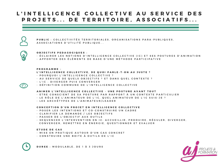## L'INTELLIGENCE COLLECTIVE AU SERVICE DES P R O J E T S . . . D E T E R R I T O I R E . A S S O C I A T I F S . . .



PUBLIC : COLLECTIVITÉS TERRITORIALES, ORGANISATIONS PARA-PUBLIOUES. A S S O C I A T I O N S D'UTILITÉ PUBLIQUE...



#### O B J E C T I F S P E D A G O G I Q U E S :

- É CLAIRER LES NOTIONS D'INTELLIGENCE COLLECTIVE (IC) ET SES POSTURES D'ANIMATION
- A P P O R T E R D E S É L É M E N T S D E B A S E D ' U N E M É T H O D E P A R T I C I P A T I V E

#### PROGRAMME :

#### L'INTELLIGENCE COLLECTIVE, DE QUOI PARLE-T-ON AU JUSTE ?

- POUROUOI L'INTELLIGENCE COLLECTIVE ?
- AU SERVICE DE QUELS OBJECTIFS ? ET DANS QUEL CONTEXTE ?
- L'IC : DIVERGER PUIS CONVERGER
- DÉFINITION COMMUNE DE L'INTELLIGENCE COLLECTIVE

#### ANIMER L'INTELLIGENCE COLLECTIVE - UNE POSTURE AVANT TOUT

- E TRE CONSCIENT DE SA POSTURE PAR RAPPORT À UN CONTEXTE PARTICULIER
- LE RÔLE DE L'ANIMATEUR DE L'IC. OUEL ANIMATEUR DE L'IC SUIS-JE ?
- LES ARCHÉTYPES DE L'ANIMATEUR/LEADER

#### CONCEPTION D'UN PROJET EN INTELLIGENCE COLLECTIVE

- POSER LES INTENTIONS ET CO-CONSTRUIRE UN CADRE
- CLARIFIER LA DEMANDE / LES OBJECTIFS
- PASSER DE L'OBJECTIF AUX OUTILS
- SEOUENCER L'INTERVENTION EN IC: ACCUEILLIR, PRODUIRE, RÉGULER, DIVERGER, CONVERGER, REMETTRE EN ÉNERGIE, QUESTIONNER ET EVALUER

#### E TUDE DE CAS

- MISE EN PRATIQUE AUTOUR D'UN CAS CONCRET
- CONSTRUIRE UNE BOITE À OUTILS DE L'IC

D U R E E : M O D U L A B L E , D E 1 À 3 J O U R S

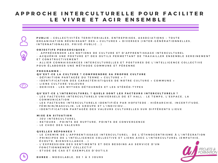## A P P R O C H E I N T E R C U L T U R E L L E P O U R F A C I L I T E R LE VIVRE ET AGIR ENSEMBLE

PUBLIC : COLLECTIVITÉS TERRITORIALES, ENTREPRISES, ASSOCIATIONS - TOUTE ORGANISATION RÉUNISSANT DES « CULTURES » DIVERSES (INTER-GÉNÉRATIONNELLES. IN TERNATIONALES. PRIVÉ-PUBLIC...)

#### O B J E C T I F S P E D A G O G I O U E S :

- A P P R É H E N D E R L E S N O T I O N S D E C ULTURE ET D'A P P R EN T I S S A G E INTER CULTURE L - A COUÉRIR UNE POSTURE ET DES OUTILS PERMETTANT DE TRAVAILLER ENSEMBLE SEREINEMENT

#### ET CONSTRUCTIVEMENT.

- A LLIER CONNAISSANCES INTERCULTURELLES ET POSTURES DE L'INTELLIGENCE COLLECTIVE POUR ÉLABORER UNE MÉTHODE COMMUNE ET PÉRENNE

#### PROGRAMME :

#### QU'EST-CE LA CULTURE ? COMPRENDRE SA PROPRE CULTURE

- DÉFINITION PARTAGÉE DU TERME « CULTURE » ?
- I D EN TI FI CATION DES CARACTÉRISTIQUES DE NOTRE CULTURE « COMMUNE »
- LIENS CULTURE-VALEURS
- D E R I V E S : L E S M Y T H E S D É T O U R N É S E T L E S S T É R É O T Y P E S

#### QU'EST-CE L'INTERCULTUREL ? QUELS SONT LES FACTEURS INTERCULTURELS ?

- LES FACTEURS INTERCULTURELS UNIVERSELS DE ET HALL : LE TEMPS, L'ESPACE, LA C O M M U N I C A T I O N
- LES FACTEURS INTERCULTURELS IDENTIFIÉS PAR HOFSTEDE : HIÉRARCHIE, INCERTITUDE, FÉM IN IN / MASCULIN, LE GROUPE ET L'INDIVIDU...
- I DENTIFICATION PARTAGÉE DES VALEURS CULTURELLES SUR DIFFÉRENTS LIEUX

#### **MISE EN SITUATION**

- JEU INTERCULTUREL
- RETOURS : POINTS DE RUPTURE, POINTS DE CONVERGENCE
- LE CHOC DES VALEURS

#### QUELLES RÉPONSES ?

- LE CHEMIN DE L'APPRENTISSAGE INTERCULTUREL : DE L'ÉTHNOCENTRISME À L'INTÉGRATION
- PRINCIPES DE L'INTELLIGENCE COLLECTIVE ET LIENS AVEC L'INTERCULTUREL (EMPATHIE,  $É COUTE, B I EN V E I L L ANCE...$
- L'EXPRESSION DES SENTIMENTS ET DES BESOINS AU SERVICE D'UN FONCTIONNEMENT COLLECTIF
- ETUDE DE CAS ET EXEMPLES D'OUTILS